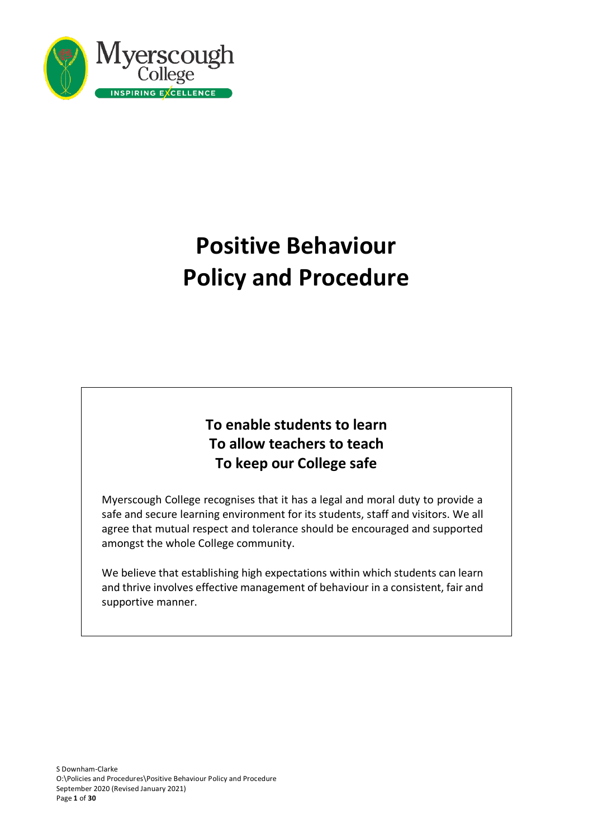

# **Positive Behaviour Policy and Procedure**

# **To enable students to learn To allow teachers to teach To keep our College safe**

Myerscough College recognises that it has a legal and moral duty to provide a safe and secure learning environment for its students, staff and visitors. We all agree that mutual respect and tolerance should be encouraged and supported amongst the whole College community.

We believe that establishing high expectations within which students can learn and thrive involves effective management of behaviour in a consistent, fair and supportive manner.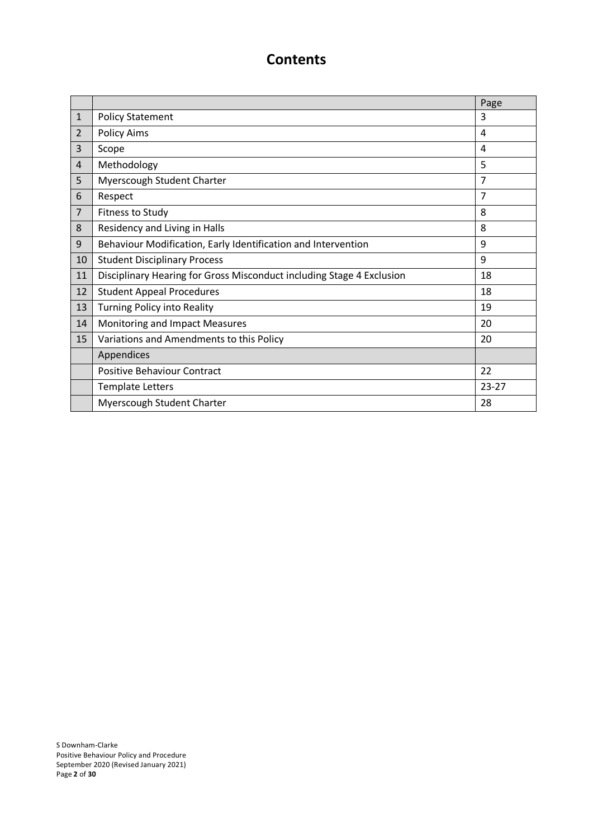# **Contents**

|                |                                                                       | Page           |
|----------------|-----------------------------------------------------------------------|----------------|
| $\mathbf{1}$   | <b>Policy Statement</b>                                               | 3              |
| $\overline{2}$ | <b>Policy Aims</b>                                                    | 4              |
| 3              | Scope                                                                 | 4              |
| 4              | Methodology                                                           | 5              |
| 5              | Myerscough Student Charter                                            | $\overline{7}$ |
| 6              | Respect                                                               | $\overline{7}$ |
| $\overline{7}$ | Fitness to Study                                                      | 8              |
| 8              | Residency and Living in Halls                                         | 8              |
| 9              | Behaviour Modification, Early Identification and Intervention         | 9              |
| 10             | <b>Student Disciplinary Process</b>                                   | 9              |
| 11             | Disciplinary Hearing for Gross Misconduct including Stage 4 Exclusion | 18             |
| 12             | <b>Student Appeal Procedures</b>                                      | 18             |
| 13             | <b>Turning Policy into Reality</b>                                    | 19             |
| 14             | Monitoring and Impact Measures                                        | 20             |
| 15             | Variations and Amendments to this Policy                              | 20             |
|                | Appendices                                                            |                |
|                | <b>Positive Behaviour Contract</b>                                    | 22             |
|                | <b>Template Letters</b>                                               | 23-27          |
|                | Myerscough Student Charter                                            | 28             |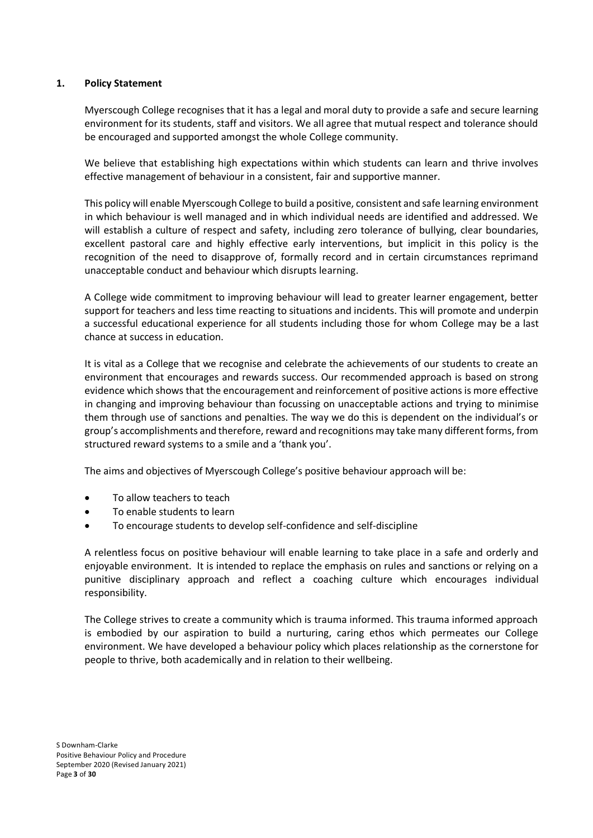# **1. Policy Statement**

Myerscough College recognises that it has a legal and moral duty to provide a safe and secure learning environment for its students, staff and visitors. We all agree that mutual respect and tolerance should be encouraged and supported amongst the whole College community.

We believe that establishing high expectations within which students can learn and thrive involves effective management of behaviour in a consistent, fair and supportive manner.

This policy will enable Myerscough College to build a positive, consistent and safe learning environment in which behaviour is well managed and in which individual needs are identified and addressed. We will establish a culture of respect and safety, including zero tolerance of bullying, clear boundaries, excellent pastoral care and highly effective early interventions, but implicit in this policy is the recognition of the need to disapprove of, formally record and in certain circumstances reprimand unacceptable conduct and behaviour which disrupts learning.

A College wide commitment to improving behaviour will lead to greater learner engagement, better support for teachers and less time reacting to situations and incidents. This will promote and underpin a successful educational experience for all students including those for whom College may be a last chance at success in education.

It is vital as a College that we recognise and celebrate the achievements of our students to create an environment that encourages and rewards success. Our recommended approach is based on strong evidence which shows that the encouragement and reinforcement of positive actions is more effective in changing and improving behaviour than focussing on unacceptable actions and trying to minimise them through use of sanctions and penalties. The way we do this is dependent on the individual's or group's accomplishments and therefore, reward and recognitions may take many different forms, from structured reward systems to a smile and a 'thank you'.

The aims and objectives of Myerscough College's positive behaviour approach will be:

- To allow teachers to teach
- To enable students to learn
- To encourage students to develop self-confidence and self-discipline

A relentless focus on positive behaviour will enable learning to take place in a safe and orderly and enjoyable environment. It is intended to replace the emphasis on rules and sanctions or relying on a punitive disciplinary approach and reflect a coaching culture which encourages individual responsibility.

The College strives to create a community which is trauma informed. This trauma informed approach is embodied by our aspiration to build a nurturing, caring ethos which permeates our College environment. We have developed a behaviour policy which places relationship as the cornerstone for people to thrive, both academically and in relation to their wellbeing.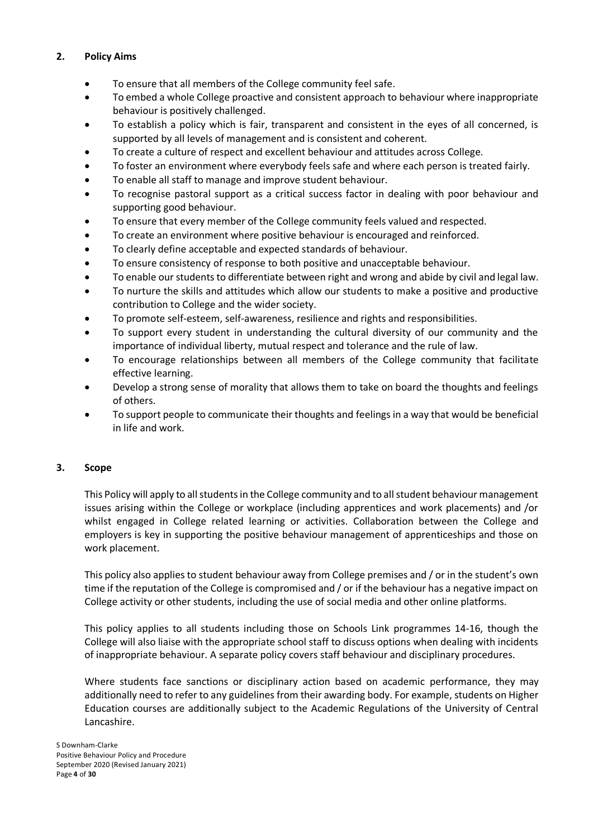# **2. Policy Aims**

- To ensure that all members of the College community feel safe.
- To embed a whole College proactive and consistent approach to behaviour where inappropriate behaviour is positively challenged.
- To establish a policy which is fair, transparent and consistent in the eyes of all concerned, is supported by all levels of management and is consistent and coherent.
- To create a culture of respect and excellent behaviour and attitudes across College.
- To foster an environment where everybody feels safe and where each person is treated fairly.
- To enable all staff to manage and improve student behaviour.
- To recognise pastoral support as a critical success factor in dealing with poor behaviour and supporting good behaviour.
- To ensure that every member of the College community feels valued and respected.
- To create an environment where positive behaviour is encouraged and reinforced.
- To clearly define acceptable and expected standards of behaviour.
- To ensure consistency of response to both positive and unacceptable behaviour.
- To enable our students to differentiate between right and wrong and abide by civil and legal law.
- To nurture the skills and attitudes which allow our students to make a positive and productive contribution to College and the wider society.
- To promote self-esteem, self-awareness, resilience and rights and responsibilities.
- To support every student in understanding the cultural diversity of our community and the importance of individual liberty, mutual respect and tolerance and the rule of law.
- To encourage relationships between all members of the College community that facilitate effective learning.
- Develop a strong sense of morality that allows them to take on board the thoughts and feelings of others.
- To support people to communicate their thoughts and feelings in a way that would be beneficial in life and work.

# **3. Scope**

This Policy will apply to all students in the College community and to all student behaviour management issues arising within the College or workplace (including apprentices and work placements) and /or whilst engaged in College related learning or activities. Collaboration between the College and employers is key in supporting the positive behaviour management of apprenticeships and those on work placement.

This policy also applies to student behaviour away from College premises and / or in the student's own time if the reputation of the College is compromised and / or if the behaviour has a negative impact on College activity or other students, including the use of social media and other online platforms.

This policy applies to all students including those on Schools Link programmes 14-16, though the College will also liaise with the appropriate school staff to discuss options when dealing with incidents of inappropriate behaviour. A separate policy covers staff behaviour and disciplinary procedures.

Where students face sanctions or disciplinary action based on academic performance, they may additionally need to refer to any guidelines from their awarding body. For example, students on Higher Education courses are additionally subject to the Academic Regulations of the University of Central Lancashire.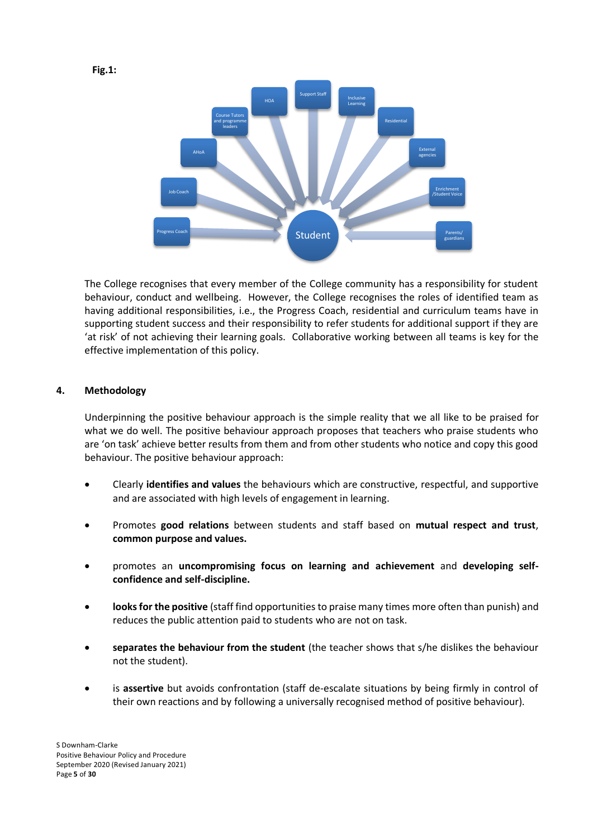

The College recognises that every member of the College community has a responsibility for student behaviour, conduct and wellbeing. However, the College recognises the roles of identified team as having additional responsibilities, i.e., the Progress Coach, residential and curriculum teams have in supporting student success and their responsibility to refer students for additional support if they are 'at risk' of not achieving their learning goals. Collaborative working between all teams is key for the effective implementation of this policy.

# **4. Methodology**

Underpinning the positive behaviour approach is the simple reality that we all like to be praised for what we do well. The positive behaviour approach proposes that teachers who praise students who are 'on task' achieve better results from them and from other students who notice and copy this good behaviour. The positive behaviour approach:

- Clearly **identifies and values** the behaviours which are constructive, respectful, and supportive and are associated with high levels of engagement in learning.
- Promotes **good relations** between students and staff based on **mutual respect and trust**, **common purpose and values.**
- promotes an **uncompromising focus on learning and achievement** and **developing selfconfidence and self-discipline.**
- **looks for the positive** (staff find opportunities to praise many times more often than punish) and reduces the public attention paid to students who are not on task.
- **separates the behaviour from the student** (the teacher shows that s/he dislikes the behaviour not the student).
- is **assertive** but avoids confrontation (staff de-escalate situations by being firmly in control of their own reactions and by following a universally recognised method of positive behaviour).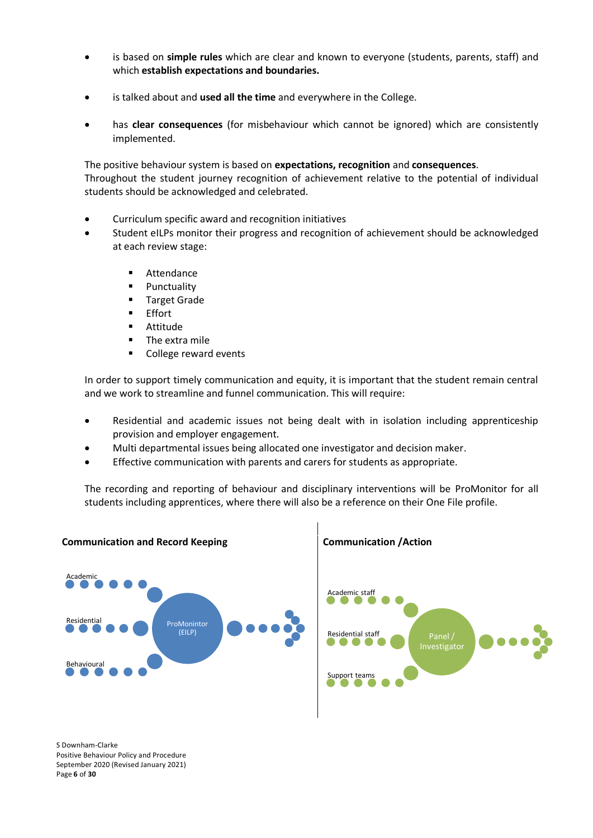- is based on **simple rules** which are clear and known to everyone (students, parents, staff) and which **establish expectations and boundaries.**
- is talked about and **used all the time** and everywhere in the College.
- has **clear consequences** (for misbehaviour which cannot be ignored) which are consistently implemented.

The positive behaviour system is based on **expectations, recognition** and **consequences**. Throughout the student journey recognition of achievement relative to the potential of individual students should be acknowledged and celebrated.

- Curriculum specific award and recognition initiatives
- Student eILPs monitor their progress and recognition of achievement should be acknowledged at each review stage:
	- Attendance
	- Punctuality
	- **Target Grade**
	- **Effort**
	- **Attitude**
	- The extra mile
	- College reward events

In order to support timely communication and equity, it is important that the student remain central and we work to streamline and funnel communication. This will require:

- Residential and academic issues not being dealt with in isolation including apprenticeship provision and employer engagement.
- Multi departmental issues being allocated one investigator and decision maker.
- Effective communication with parents and carers for students as appropriate.

The recording and reporting of behaviour and disciplinary interventions will be ProMonitor for all students including apprentices, where there will also be a reference on their One File profile.



S Downham-Clarke Positive Behaviour Policy and Procedure September 2020 (Revised January 2021) Page **6** of **30**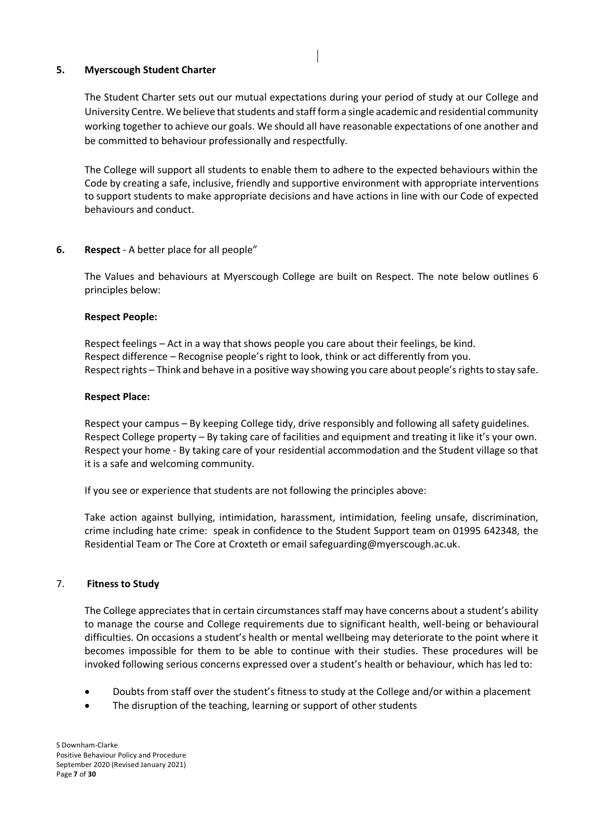## **5. Myerscough Student Charter**

The Student Charter sets out our mutual expectations during your period of study at our College and University Centre. We believe that students and staff form a single academic and residential community working together to achieve our goals. We should all have reasonable expectations of one another and be committed to behaviour professionally and respectfully.

The College will support all students to enable them to adhere to the expected behaviours within the Code by creating a safe, inclusive, friendly and supportive environment with appropriate interventions to support students to make appropriate decisions and have actions in line with our Code of expected behaviours and conduct.

# **6. Respect** - A better place for all people"

The Values and behaviours at Myerscough College are built on Respect. The note below outlines 6 principles below:

### **Respect People:**

Respect feelings – Act in a way that shows people you care about their feelings, be kind. Respect difference – Recognise people's right to look, think or act differently from you. Respect rights – Think and behave in a positive way showing you care about people's rights to stay safe.

#### **Respect Place:**

Respect your campus – By keeping College tidy, drive responsibly and following all safety guidelines. Respect College property – By taking care of facilities and equipment and treating it like it's your own. Respect your home - By taking care of your residential accommodation and the Student village so that it is a safe and welcoming community.

If you see or experience that students are not following the principles above:

Take action against bullying, intimidation, harassment, intimidation, feeling unsafe, discrimination, crime including hate crime: speak in confidence to the Student Support team on 01995 642348, the Residential Team or The Core at Croxteth or email safeguarding@myerscough.ac.uk.

### 7. **Fitness to Study**

The College appreciates that in certain circumstances staff may have concerns about a student's ability to manage the course and College requirements due to significant health, well-being or behavioural difficulties. On occasions a student's health or mental wellbeing may deteriorate to the point where it becomes impossible for them to be able to continue with their studies. These procedures will be invoked following serious concerns expressed over a student's health or behaviour, which has led to:

- Doubts from staff over the student's fitness to study at the College and/or within a placement
- The disruption of the teaching, learning or support of other students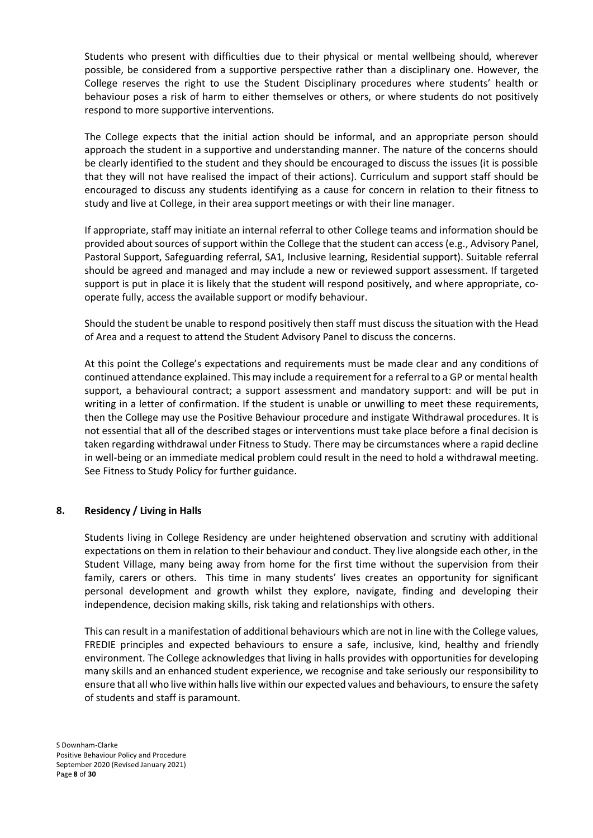Students who present with difficulties due to their physical or mental wellbeing should, wherever possible, be considered from a supportive perspective rather than a disciplinary one. However, the College reserves the right to use the Student Disciplinary procedures where students' health or behaviour poses a risk of harm to either themselves or others, or where students do not positively respond to more supportive interventions.

The College expects that the initial action should be informal, and an appropriate person should approach the student in a supportive and understanding manner. The nature of the concerns should be clearly identified to the student and they should be encouraged to discuss the issues (it is possible that they will not have realised the impact of their actions). Curriculum and support staff should be encouraged to discuss any students identifying as a cause for concern in relation to their fitness to study and live at College, in their area support meetings or with their line manager.

If appropriate, staff may initiate an internal referral to other College teams and information should be provided about sources of support within the College that the student can access (e.g., Advisory Panel, Pastoral Support, Safeguarding referral, SA1, Inclusive learning, Residential support). Suitable referral should be agreed and managed and may include a new or reviewed support assessment. If targeted support is put in place it is likely that the student will respond positively, and where appropriate, cooperate fully, access the available support or modify behaviour.

Should the student be unable to respond positively then staff must discuss the situation with the Head of Area and a request to attend the Student Advisory Panel to discuss the concerns.

At this point the College's expectations and requirements must be made clear and any conditions of continued attendance explained. This may include a requirement for a referral to a GP or mental health support, a behavioural contract; a support assessment and mandatory support: and will be put in writing in a letter of confirmation. If the student is unable or unwilling to meet these requirements, then the College may use the Positive Behaviour procedure and instigate Withdrawal procedures. It is not essential that all of the described stages or interventions must take place before a final decision is taken regarding withdrawal under Fitness to Study. There may be circumstances where a rapid decline in well-being or an immediate medical problem could result in the need to hold a withdrawal meeting. See Fitness to Study Policy for further guidance.

### **8. Residency / Living in Halls**

Students living in College Residency are under heightened observation and scrutiny with additional expectations on them in relation to their behaviour and conduct. They live alongside each other, in the Student Village, many being away from home for the first time without the supervision from their family, carers or others. This time in many students' lives creates an opportunity for significant personal development and growth whilst they explore, navigate, finding and developing their independence, decision making skills, risk taking and relationships with others.

This can result in a manifestation of additional behaviours which are not in line with the College values, FREDIE principles and expected behaviours to ensure a safe, inclusive, kind, healthy and friendly environment. The College acknowledges that living in halls provides with opportunities for developing many skills and an enhanced student experience, we recognise and take seriously our responsibility to ensure that all who live within halls live within our expected values and behaviours, to ensure the safety of students and staff is paramount.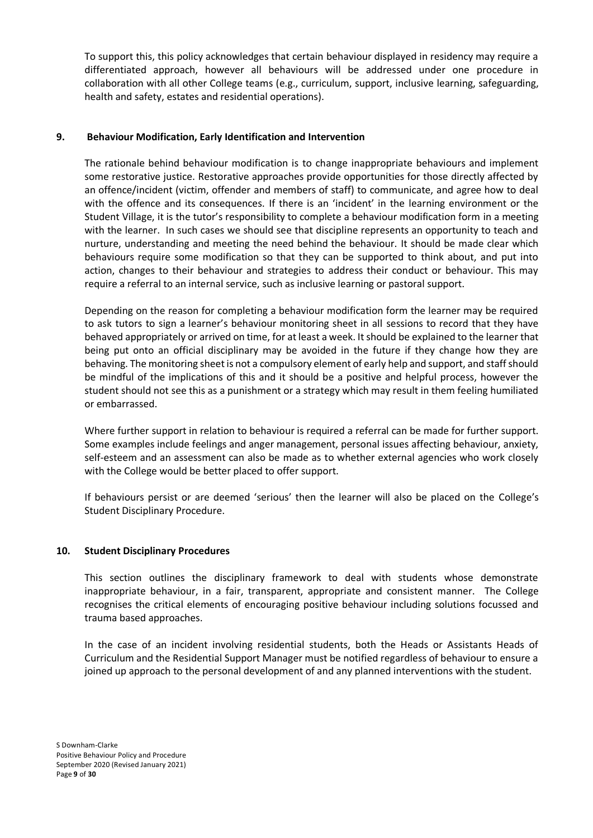To support this, this policy acknowledges that certain behaviour displayed in residency may require a differentiated approach, however all behaviours will be addressed under one procedure in collaboration with all other College teams (e.g., curriculum, support, inclusive learning, safeguarding, health and safety, estates and residential operations).

# **9. Behaviour Modification, Early Identification and Intervention**

The rationale behind behaviour modification is to change inappropriate behaviours and implement some restorative justice. Restorative approaches provide opportunities for those directly affected by an offence/incident (victim, offender and members of staff) to communicate, and agree how to deal with the offence and its consequences. If there is an 'incident' in the learning environment or the Student Village, it is the tutor's responsibility to complete a behaviour modification form in a meeting with the learner. In such cases we should see that discipline represents an opportunity to teach and nurture, understanding and meeting the need behind the behaviour. It should be made clear which behaviours require some modification so that they can be supported to think about, and put into action, changes to their behaviour and strategies to address their conduct or behaviour. This may require a referral to an internal service, such as inclusive learning or pastoral support.

Depending on the reason for completing a behaviour modification form the learner may be required to ask tutors to sign a learner's behaviour monitoring sheet in all sessions to record that they have behaved appropriately or arrived on time, for at least a week. It should be explained to the learner that being put onto an official disciplinary may be avoided in the future if they change how they are behaving. The monitoring sheet is not a compulsory element of early help and support, and staff should be mindful of the implications of this and it should be a positive and helpful process, however the student should not see this as a punishment or a strategy which may result in them feeling humiliated or embarrassed.

Where further support in relation to behaviour is required a referral can be made for further support. Some examples include feelings and anger management, personal issues affecting behaviour, anxiety, self-esteem and an assessment can also be made as to whether external agencies who work closely with the College would be better placed to offer support.

If behaviours persist or are deemed 'serious' then the learner will also be placed on the College's Student Disciplinary Procedure.

### **10. Student Disciplinary Procedures**

This section outlines the disciplinary framework to deal with students whose demonstrate inappropriate behaviour, in a fair, transparent, appropriate and consistent manner. The College recognises the critical elements of encouraging positive behaviour including solutions focussed and trauma based approaches.

In the case of an incident involving residential students, both the Heads or Assistants Heads of Curriculum and the Residential Support Manager must be notified regardless of behaviour to ensure a joined up approach to the personal development of and any planned interventions with the student.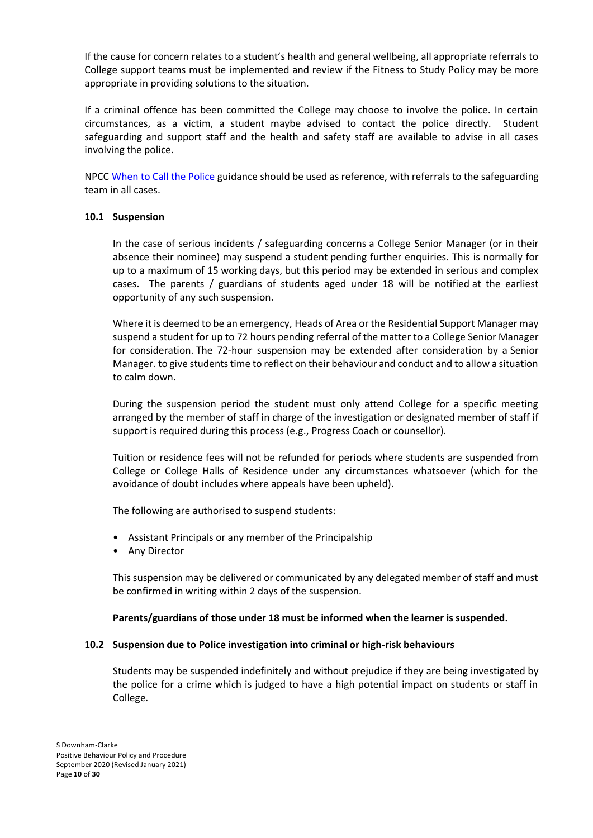If the cause for concern relates to a student's health and general wellbeing, all appropriate referrals to College support teams must be implemented and review if the Fitness to Study Policy may be more appropriate in providing solutions to the situation.

If a criminal offence has been committed the College may choose to involve the police. In certain circumstances, as a victim, a student maybe advised to contact the police directly. Student safeguarding and support staff and the health and safety staff are available to advise in all cases involving the police.

NPCC [When to Call the Police](https://www.npcc.police.uk/documents/Children%20and%20Young%20people/When%20to%20call%20the%20police%20guidance%20for%20schools%20and%20colleges.pdf) guidance should be used as reference, with referrals to the safeguarding team in all cases.

# **10.1 Suspension**

In the case of serious incidents / safeguarding concerns a College Senior Manager (or in their absence their nominee) may suspend a student pending further enquiries. This is normally for up to a maximum of 15 working days, but this period may be extended in serious and complex cases. The parents / guardians of students aged under 18 will be notified at the earliest opportunity of any such suspension.

Where it is deemed to be an emergency, Heads of Area or the Residential Support Manager may suspend a student for up to 72 hours pending referral of the matter to a College Senior Manager for consideration. The 72-hour suspension may be extended after consideration by a Senior Manager. to give students time to reflect on their behaviour and conduct and to allow a situation to calm down.

During the suspension period the student must only attend College for a specific meeting arranged by the member of staff in charge of the investigation or designated member of staff if support is required during this process (e.g., Progress Coach or counsellor).

Tuition or residence fees will not be refunded for periods where students are suspended from College or College Halls of Residence under any circumstances whatsoever (which for the avoidance of doubt includes where appeals have been upheld).

The following are authorised to suspend students:

- Assistant Principals or any member of the Principalship
- Any Director

This suspension may be delivered or communicated by any delegated member of staff and must be confirmed in writing within 2 days of the suspension.

### **Parents/guardians of those under 18 must be informed when the learner is suspended.**

### **10.2 Suspension due to Police investigation into criminal or high-risk behaviours**

Students may be suspended indefinitely and without prejudice if they are being investigated by the police for a crime which is judged to have a high potential impact on students or staff in College.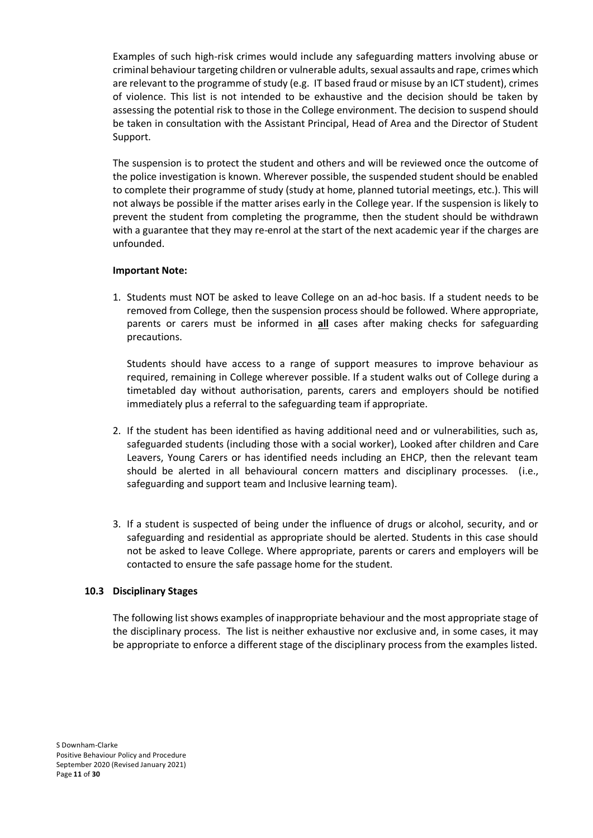Examples of such high-risk crimes would include any safeguarding matters involving abuse or criminal behaviour targeting children or vulnerable adults, sexual assaults and rape, crimes which are relevant to the programme of study (e.g. IT based fraud or misuse by an ICT student), crimes of violence. This list is not intended to be exhaustive and the decision should be taken by assessing the potential risk to those in the College environment. The decision to suspend should be taken in consultation with the Assistant Principal, Head of Area and the Director of Student Support.

The suspension is to protect the student and others and will be reviewed once the outcome of the police investigation is known. Wherever possible, the suspended student should be enabled to complete their programme of study (study at home, planned tutorial meetings, etc.). This will not always be possible if the matter arises early in the College year. If the suspension is likely to prevent the student from completing the programme, then the student should be withdrawn with a guarantee that they may re-enrol at the start of the next academic year if the charges are unfounded.

### **Important Note:**

1. Students must NOT be asked to leave College on an ad-hoc basis. If a student needs to be removed from College, then the suspension process should be followed. Where appropriate, parents or carers must be informed in **all** cases after making checks for safeguarding precautions.

Students should have access to a range of support measures to improve behaviour as required, remaining in College wherever possible. If a student walks out of College during a timetabled day without authorisation, parents, carers and employers should be notified immediately plus a referral to the safeguarding team if appropriate.

- 2. If the student has been identified as having additional need and or vulnerabilities, such as, safeguarded students (including those with a social worker), Looked after children and Care Leavers, Young Carers or has identified needs including an EHCP, then the relevant team should be alerted in all behavioural concern matters and disciplinary processes. (i.e., safeguarding and support team and Inclusive learning team).
- 3. If a student is suspected of being under the influence of drugs or alcohol, security, and or safeguarding and residential as appropriate should be alerted. Students in this case should not be asked to leave College. Where appropriate, parents or carers and employers will be contacted to ensure the safe passage home for the student.

### **10.3 Disciplinary Stages**

The following list shows examples of inappropriate behaviour and the most appropriate stage of the disciplinary process. The list is neither exhaustive nor exclusive and, in some cases, it may be appropriate to enforce a different stage of the disciplinary process from the examples listed.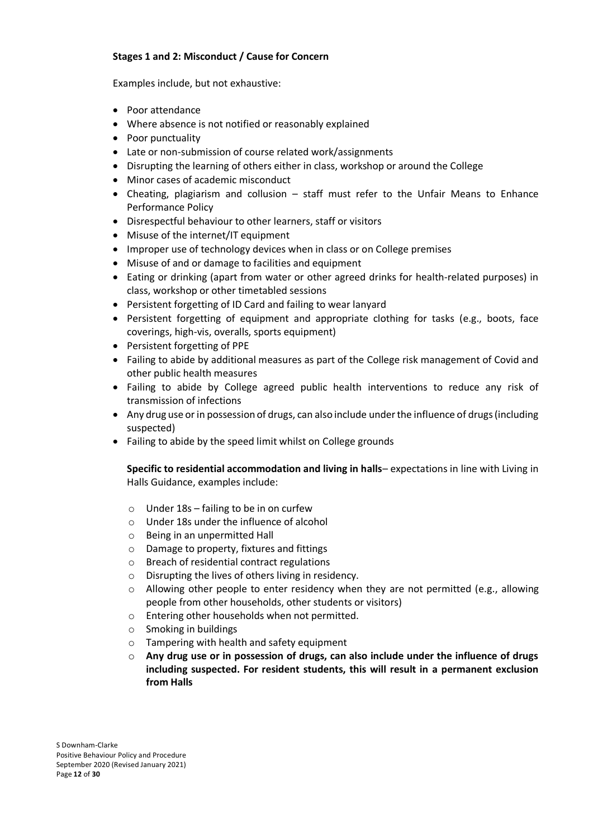# **Stages 1 and 2: Misconduct / Cause for Concern**

Examples include, but not exhaustive:

- Poor attendance
- Where absence is not notified or reasonably explained
- Poor punctuality
- Late or non-submission of course related work/assignments
- Disrupting the learning of others either in class, workshop or around the College
- Minor cases of academic misconduct
- Cheating, plagiarism and collusion staff must refer to the Unfair Means to Enhance Performance Policy
- Disrespectful behaviour to other learners, staff or visitors
- Misuse of the internet/IT equipment
- Improper use of technology devices when in class or on College premises
- Misuse of and or damage to facilities and equipment
- Eating or drinking (apart from water or other agreed drinks for health-related purposes) in class, workshop or other timetabled sessions
- Persistent forgetting of ID Card and failing to wear lanyard
- Persistent forgetting of equipment and appropriate clothing for tasks (e.g., boots, face coverings, high-vis, overalls, sports equipment)
- Persistent forgetting of PPE
- Failing to abide by additional measures as part of the College risk management of Covid and other public health measures
- Failing to abide by College agreed public health interventions to reduce any risk of transmission of infections
- Any drug use or in possession of drugs, can also include under the influence of drugs (including suspected)
- Failing to abide by the speed limit whilst on College grounds

**Specific to residential accommodation and living in halls**– expectations in line with Living in Halls Guidance, examples include:

- $\circ$  Under 18s failing to be in on curfew
- o Under 18s under the influence of alcohol
- o Being in an unpermitted Hall
- o Damage to property, fixtures and fittings
- o Breach of residential contract regulations
- o Disrupting the lives of others living in residency.
- $\circ$  Allowing other people to enter residency when they are not permitted (e.g., allowing people from other households, other students or visitors)
- o Entering other households when not permitted.
- o Smoking in buildings
- o Tampering with health and safety equipment
- o **Any drug use or in possession of drugs, can also include under the influence of drugs including suspected. For resident students, this will result in a permanent exclusion from Halls**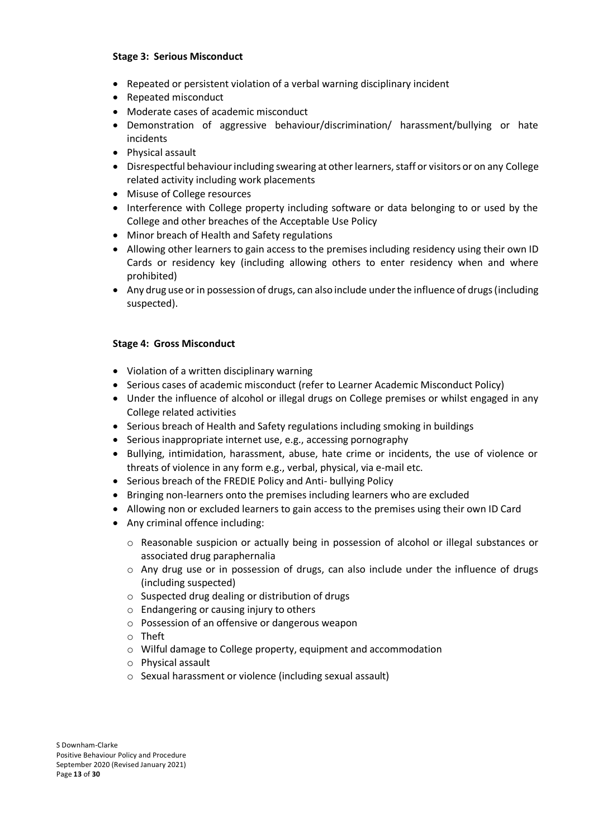## **Stage 3: Serious Misconduct**

- Repeated or persistent violation of a verbal warning disciplinary incident
- Repeated misconduct
- Moderate cases of academic misconduct
- Demonstration of aggressive behaviour/discrimination/ harassment/bullying or hate incidents
- Physical assault
- Disrespectful behaviour including swearing at other learners, staff or visitors or on any College related activity including work placements
- Misuse of College resources
- Interference with College property including software or data belonging to or used by the College and other breaches of the Acceptable Use Policy
- Minor breach of Health and Safety regulations
- Allowing other learners to gain access to the premises including residency using their own ID Cards or residency key (including allowing others to enter residency when and where prohibited)
- Any drug use or in possession of drugs, can also include under the influence of drugs (including suspected).

# **Stage 4: Gross Misconduct**

- Violation of a written disciplinary warning
- Serious cases of academic misconduct (refer to Learner Academic Misconduct Policy)
- Under the influence of alcohol or illegal drugs on College premises or whilst engaged in any College related activities
- Serious breach of Health and Safety regulations including smoking in buildings
- Serious inappropriate internet use, e.g., accessing pornography
- Bullying, intimidation, harassment, abuse, hate crime or incidents, the use of violence or threats of violence in any form e.g., verbal, physical, via e-mail etc.
- Serious breach of the FREDIE Policy and Anti- bullying Policy
- Bringing non-learners onto the premises including learners who are excluded
- Allowing non or excluded learners to gain access to the premises using their own ID Card
- Any criminal offence including:
	- o Reasonable suspicion or actually being in possession of alcohol or illegal substances or associated drug paraphernalia
	- $\circ$  Any drug use or in possession of drugs, can also include under the influence of drugs (including suspected)
	- o Suspected drug dealing or distribution of drugs
	- o Endangering or causing injury to others
	- o Possession of an offensive or dangerous weapon
	- o Theft
	- o Wilful damage to College property, equipment and accommodation
	- o Physical assault
	- o Sexual harassment or violence (including sexual assault)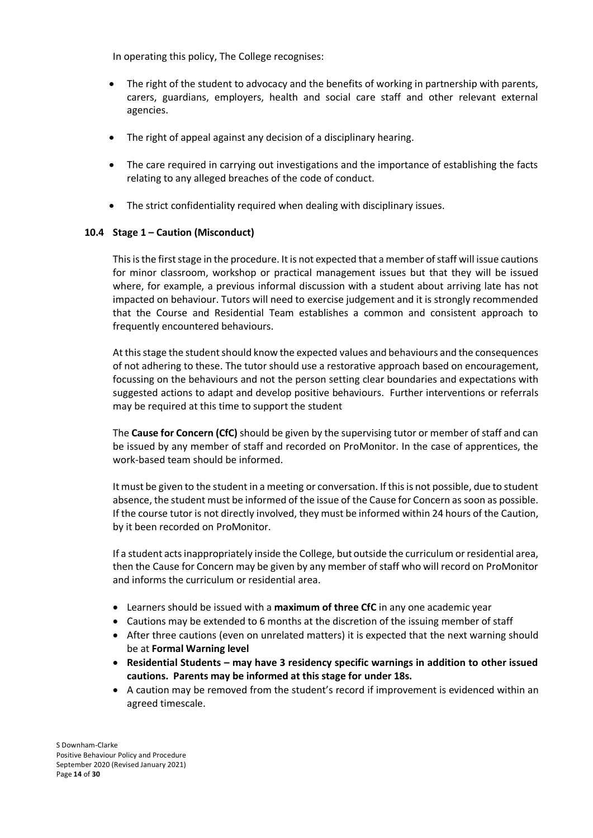In operating this policy, The College recognises:

- The right of the student to advocacy and the benefits of working in partnership with parents, carers, guardians, employers, health and social care staff and other relevant external agencies.
- The right of appeal against any decision of a disciplinary hearing.
- The care required in carrying out investigations and the importance of establishing the facts relating to any alleged breaches of the code of conduct.
- The strict confidentiality required when dealing with disciplinary issues.

# **10.4 Stage 1 – Caution (Misconduct)**

This is the first stage in the procedure. It is not expected that a member of staff will issue cautions for minor classroom, workshop or practical management issues but that they will be issued where, for example, a previous informal discussion with a student about arriving late has not impacted on behaviour. Tutors will need to exercise judgement and it is strongly recommended that the Course and Residential Team establishes a common and consistent approach to frequently encountered behaviours.

At this stage the student should know the expected values and behaviours and the consequences of not adhering to these. The tutor should use a restorative approach based on encouragement, focussing on the behaviours and not the person setting clear boundaries and expectations with suggested actions to adapt and develop positive behaviours. Further interventions or referrals may be required at this time to support the student

The **Cause for Concern (CfC)** should be given by the supervising tutor or member of staff and can be issued by any member of staff and recorded on ProMonitor. In the case of apprentices, the work-based team should be informed.

It must be given to the student in a meeting or conversation. If this is not possible, due to student absence, the student must be informed of the issue of the Cause for Concern as soon as possible. If the course tutor is not directly involved, they must be informed within 24 hours of the Caution, by it been recorded on ProMonitor.

If a student acts inappropriately inside the College, but outside the curriculum or residential area, then the Cause for Concern may be given by any member of staff who will record on ProMonitor and informs the curriculum or residential area.

- Learners should be issued with a **maximum of three CfC** in any one academic year
- Cautions may be extended to 6 months at the discretion of the issuing member of staff
- After three cautions (even on unrelated matters) it is expected that the next warning should be at **Formal Warning level**
- **Residential Students – may have 3 residency specific warnings in addition to other issued cautions. Parents may be informed at this stage for under 18s.**
- A caution may be removed from the student's record if improvement is evidenced within an agreed timescale.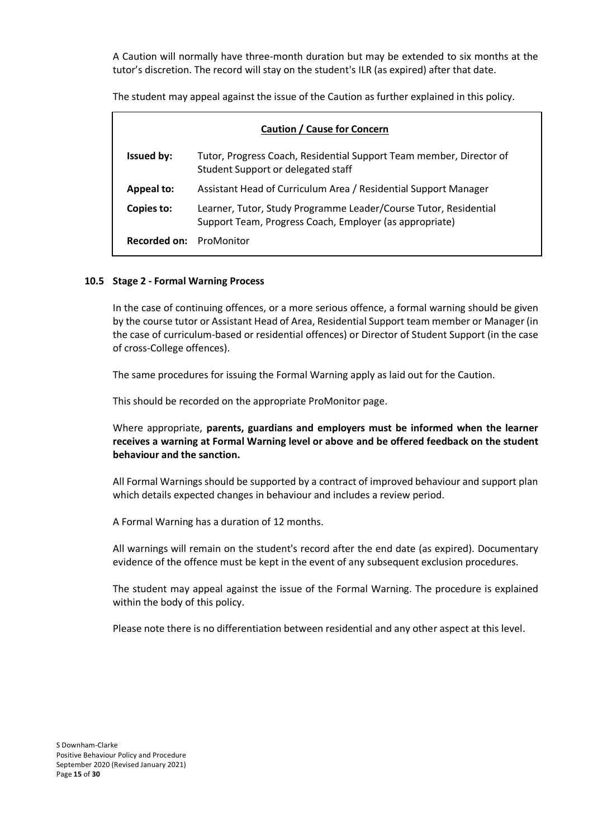A Caution will normally have three-month duration but may be extended to six months at the tutor's discretion. The record will stay on the student's ILR (as expired) after that date.

The student may appeal against the issue of the Caution as further explained in this policy.

| <b>Caution / Cause for Concern</b> |                                                                                                                             |  |  |
|------------------------------------|-----------------------------------------------------------------------------------------------------------------------------|--|--|
| Issued by:                         | Tutor, Progress Coach, Residential Support Team member, Director of<br>Student Support or delegated staff                   |  |  |
| Appeal to:                         | Assistant Head of Curriculum Area / Residential Support Manager                                                             |  |  |
| Copies to:                         | Learner, Tutor, Study Programme Leader/Course Tutor, Residential<br>Support Team, Progress Coach, Employer (as appropriate) |  |  |
| <b>Recorded on:</b> ProMonitor     |                                                                                                                             |  |  |

# **10.5 Stage 2 - Formal Warning Process**

In the case of continuing offences, or a more serious offence, a formal warning should be given by the course tutor or Assistant Head of Area, Residential Support team member or Manager (in the case of curriculum-based or residential offences) or Director of Student Support (in the case of cross-College offences).

The same procedures for issuing the Formal Warning apply as laid out for the Caution.

This should be recorded on the appropriate ProMonitor page.

Where appropriate, **parents, guardians and employers must be informed when the learner receives a warning at Formal Warning level or above and be offered feedback on the student behaviour and the sanction.**

All Formal Warnings should be supported by a contract of improved behaviour and support plan which details expected changes in behaviour and includes a review period.

A Formal Warning has a duration of 12 months.

All warnings will remain on the student's record after the end date (as expired). Documentary evidence of the offence must be kept in the event of any subsequent exclusion procedures.

The student may appeal against the issue of the Formal Warning. The procedure is explained within the body of this policy.

Please note there is no differentiation between residential and any other aspect at this level.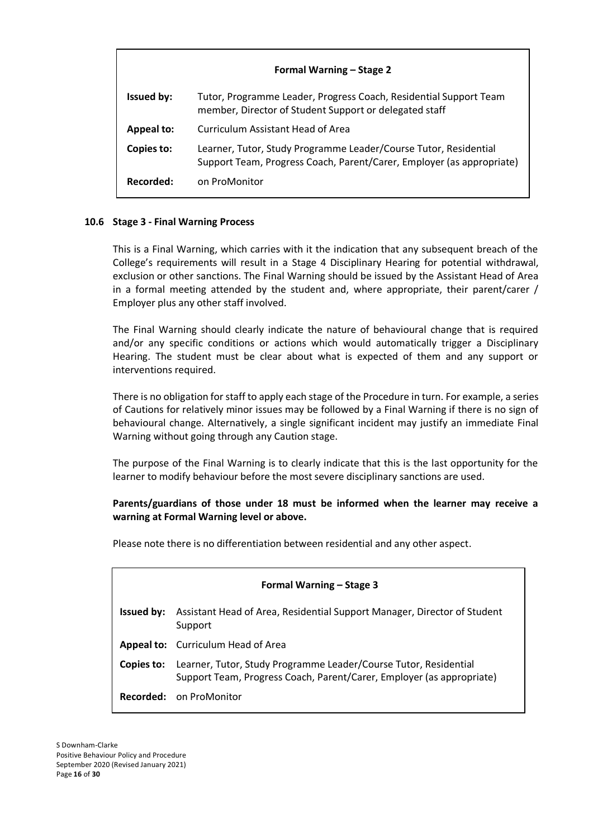|                   | Formal Warning - Stage 2                                                                                                                  |
|-------------------|-------------------------------------------------------------------------------------------------------------------------------------------|
| Issued by:        | Tutor, Programme Leader, Progress Coach, Residential Support Team<br>member, Director of Student Support or delegated staff               |
| <b>Appeal to:</b> | Curriculum Assistant Head of Area                                                                                                         |
| Copies to:        | Learner, Tutor, Study Programme Leader/Course Tutor, Residential<br>Support Team, Progress Coach, Parent/Carer, Employer (as appropriate) |
| Recorded:         | on ProMonitor                                                                                                                             |

# **10.6 Stage 3 - Final Warning Process**

This is a Final Warning, which carries with it the indication that any subsequent breach of the College's requirements will result in a Stage 4 Disciplinary Hearing for potential withdrawal, exclusion or other sanctions. The Final Warning should be issued by the Assistant Head of Area in a formal meeting attended by the student and, where appropriate, their parent/carer / Employer plus any other staff involved.

The Final Warning should clearly indicate the nature of behavioural change that is required and/or any specific conditions or actions which would automatically trigger a Disciplinary Hearing. The student must be clear about what is expected of them and any support or interventions required.

There is no obligation for staff to apply each stage of the Procedure in turn. For example, a series of Cautions for relatively minor issues may be followed by a Final Warning if there is no sign of behavioural change. Alternatively, a single significant incident may justify an immediate Final Warning without going through any Caution stage.

The purpose of the Final Warning is to clearly indicate that this is the last opportunity for the learner to modify behaviour before the most severe disciplinary sanctions are used.

# **Parents/guardians of those under 18 must be informed when the learner may receive a warning at Formal Warning level or above.**

Please note there is no differentiation between residential and any other aspect.

| Formal Warning - Stage 3 |                                                                                                                                           |  |  |
|--------------------------|-------------------------------------------------------------------------------------------------------------------------------------------|--|--|
| <b>Issued by:</b>        | Assistant Head of Area, Residential Support Manager, Director of Student<br>Support                                                       |  |  |
|                          | <b>Appeal to:</b> Curriculum Head of Area                                                                                                 |  |  |
| Copies to:               | Learner, Tutor, Study Programme Leader/Course Tutor, Residential<br>Support Team, Progress Coach, Parent/Carer, Employer (as appropriate) |  |  |
|                          | <b>Recorded:</b> on ProMonitor                                                                                                            |  |  |
|                          |                                                                                                                                           |  |  |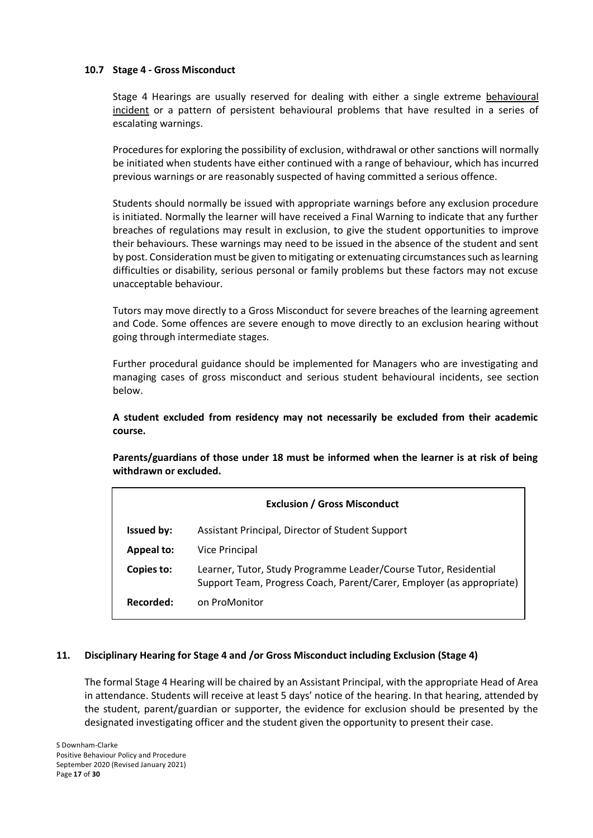#### **10.7 Stage 4 - Gross Misconduct**

Stage 4 Hearings are usually reserved for dealing with either a single extreme behavioural incident or a pattern of persistent behavioural problems that have resulted in a series of escalating warnings.

Procedures for exploring the possibility of exclusion, withdrawal or other sanctions will normally be initiated when students have either continued with a range of behaviour, which has incurred previous warnings or are reasonably suspected of having committed a serious offence.

Students should normally be issued with appropriate warnings before any exclusion procedure is initiated. Normally the learner will have received a Final Warning to indicate that any further breaches of regulations may result in exclusion, to give the student opportunities to improve their behaviours. These warnings may need to be issued in the absence of the student and sent by post. Consideration must be given to mitigating or extenuating circumstances such as learning difficulties or disability, serious personal or family problems but these factors may not excuse unacceptable behaviour.

Tutors may move directly to a Gross Misconduct for severe breaches of the learning agreement and Code. Some offences are severe enough to move directly to an exclusion hearing without going through intermediate stages.

Further procedural guidance should be implemented for Managers who are investigating and managing cases of gross misconduct and serious student behavioural incidents, see section below.

**A student excluded from residency may not necessarily be excluded from their academic course.**

**Parents/guardians of those under 18 must be informed when the learner is at risk of being withdrawn or excluded.**

| <b>Exclusion / Gross Misconduct</b> |                                                                                                                                           |  |  |
|-------------------------------------|-------------------------------------------------------------------------------------------------------------------------------------------|--|--|
| Issued by:                          | Assistant Principal, Director of Student Support                                                                                          |  |  |
| <b>Appeal to:</b>                   | Vice Principal                                                                                                                            |  |  |
| Copies to:                          | Learner, Tutor, Study Programme Leader/Course Tutor, Residential<br>Support Team, Progress Coach, Parent/Carer, Employer (as appropriate) |  |  |
| Recorded:                           | on ProMonitor                                                                                                                             |  |  |

### **11. Disciplinary Hearing for Stage 4 and /or Gross Misconduct including Exclusion (Stage 4)**

The formal Stage 4 Hearing will be chaired by an Assistant Principal, with the appropriate Head of Area in attendance. Students will receive at least 5 days' notice of the hearing. In that hearing, attended by the student, parent/guardian or supporter, the evidence for exclusion should be presented by the designated investigating officer and the student given the opportunity to present their case.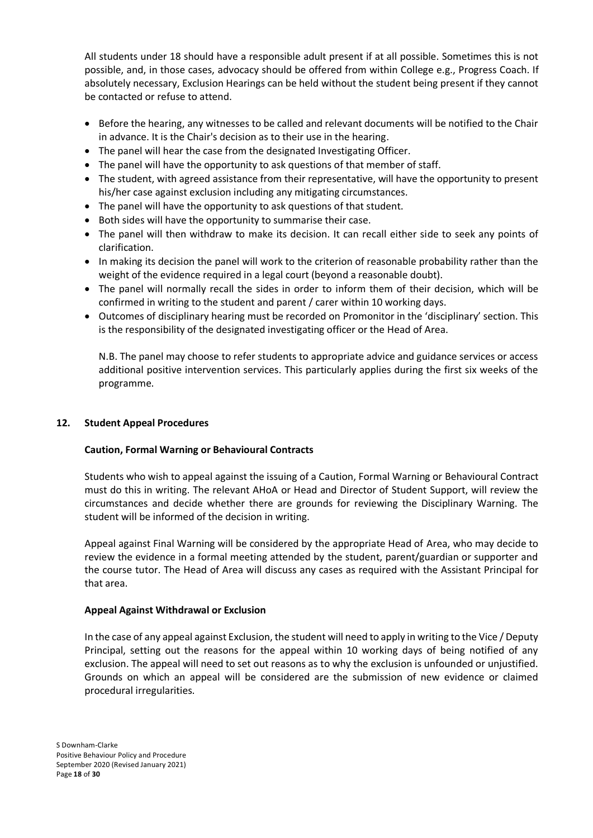All students under 18 should have a responsible adult present if at all possible. Sometimes this is not possible, and, in those cases, advocacy should be offered from within College e.g., Progress Coach. If absolutely necessary, Exclusion Hearings can be held without the student being present if they cannot be contacted or refuse to attend.

- Before the hearing, any witnesses to be called and relevant documents will be notified to the Chair in advance. It is the Chair's decision as to their use in the hearing.
- The panel will hear the case from the designated Investigating Officer.
- The panel will have the opportunity to ask questions of that member of staff.
- The student, with agreed assistance from their representative, will have the opportunity to present his/her case against exclusion including any mitigating circumstances.
- The panel will have the opportunity to ask questions of that student.
- Both sides will have the opportunity to summarise their case.
- The panel will then withdraw to make its decision. It can recall either side to seek any points of clarification.
- In making its decision the panel will work to the criterion of reasonable probability rather than the weight of the evidence required in a legal court (beyond a reasonable doubt).
- The panel will normally recall the sides in order to inform them of their decision, which will be confirmed in writing to the student and parent / carer within 10 working days.
- Outcomes of disciplinary hearing must be recorded on Promonitor in the 'disciplinary' section. This is the responsibility of the designated investigating officer or the Head of Area.

N.B. The panel may choose to refer students to appropriate advice and guidance services or access additional positive intervention services. This particularly applies during the first six weeks of the programme.

# **12. Student Appeal Procedures**

# **Caution, Formal Warning or Behavioural Contracts**

Students who wish to appeal against the issuing of a Caution, Formal Warning or Behavioural Contract must do this in writing. The relevant AHoA or Head and Director of Student Support, will review the circumstances and decide whether there are grounds for reviewing the Disciplinary Warning. The student will be informed of the decision in writing.

Appeal against Final Warning will be considered by the appropriate Head of Area, who may decide to review the evidence in a formal meeting attended by the student, parent/guardian or supporter and the course tutor. The Head of Area will discuss any cases as required with the Assistant Principal for that area.

### **Appeal Against Withdrawal or Exclusion**

In the case of any appeal against Exclusion, the student will need to apply in writing to the Vice / Deputy Principal, setting out the reasons for the appeal within 10 working days of being notified of any exclusion. The appeal will need to set out reasons as to why the exclusion is unfounded or unjustified. Grounds on which an appeal will be considered are the submission of new evidence or claimed procedural irregularities.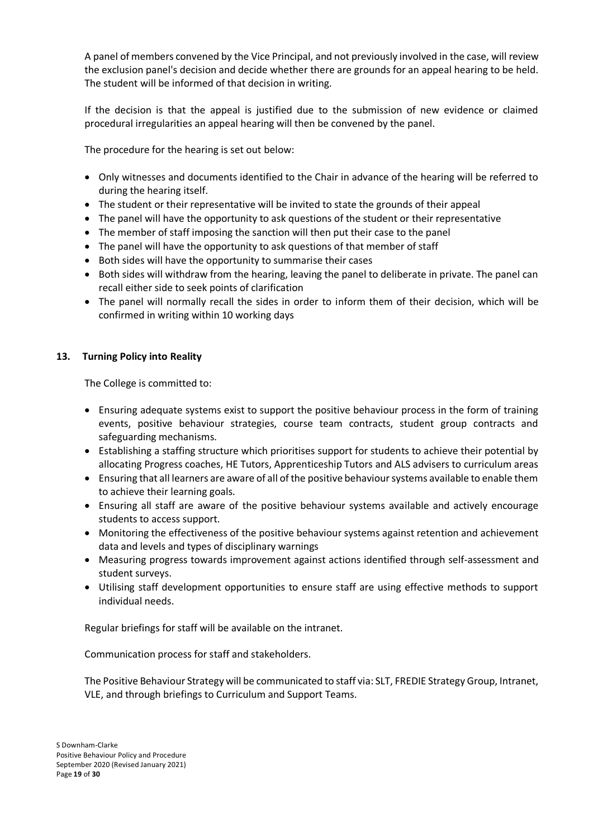A panel of members convened by the Vice Principal, and not previously involved in the case, will review the exclusion panel's decision and decide whether there are grounds for an appeal hearing to be held. The student will be informed of that decision in writing.

If the decision is that the appeal is justified due to the submission of new evidence or claimed procedural irregularities an appeal hearing will then be convened by the panel.

The procedure for the hearing is set out below:

- Only witnesses and documents identified to the Chair in advance of the hearing will be referred to during the hearing itself.
- The student or their representative will be invited to state the grounds of their appeal
- The panel will have the opportunity to ask questions of the student or their representative
- The member of staff imposing the sanction will then put their case to the panel
- The panel will have the opportunity to ask questions of that member of staff
- Both sides will have the opportunity to summarise their cases
- Both sides will withdraw from the hearing, leaving the panel to deliberate in private. The panel can recall either side to seek points of clarification
- The panel will normally recall the sides in order to inform them of their decision, which will be confirmed in writing within 10 working days

# **13. Turning Policy into Reality**

The College is committed to:

- Ensuring adequate systems exist to support the positive behaviour process in the form of training events, positive behaviour strategies, course team contracts, student group contracts and safeguarding mechanisms.
- Establishing a staffing structure which prioritises support for students to achieve their potential by allocating Progress coaches, HE Tutors, Apprenticeship Tutors and ALS advisers to curriculum areas
- Ensuring that all learners are aware of all of the positive behaviour systems available to enable them to achieve their learning goals.
- Ensuring all staff are aware of the positive behaviour systems available and actively encourage students to access support.
- Monitoring the effectiveness of the positive behaviour systems against retention and achievement data and levels and types of disciplinary warnings
- Measuring progress towards improvement against actions identified through self-assessment and student surveys.
- Utilising staff development opportunities to ensure staff are using effective methods to support individual needs.

Regular briefings for staff will be available on the intranet.

Communication process for staff and stakeholders.

The Positive Behaviour Strategy will be communicated to staff via: SLT, FREDIE Strategy Group, Intranet, VLE, and through briefings to Curriculum and Support Teams.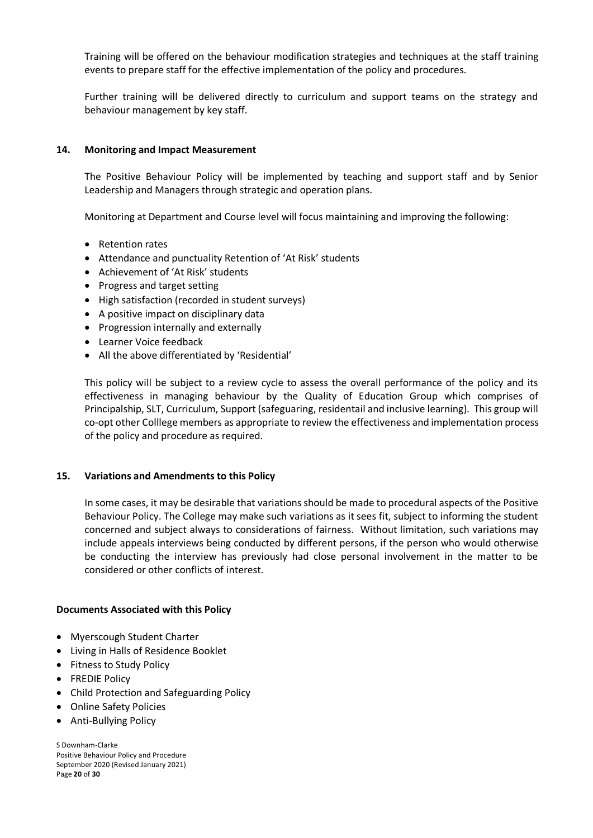Training will be offered on the behaviour modification strategies and techniques at the staff training events to prepare staff for the effective implementation of the policy and procedures.

Further training will be delivered directly to curriculum and support teams on the strategy and behaviour management by key staff.

#### **14. Monitoring and Impact Measurement**

The Positive Behaviour Policy will be implemented by teaching and support staff and by Senior Leadership and Managers through strategic and operation plans.

Monitoring at Department and Course level will focus maintaining and improving the following:

- Retention rates
- Attendance and punctuality Retention of 'At Risk' students
- Achievement of 'At Risk' students
- Progress and target setting
- High satisfaction (recorded in student surveys)
- A positive impact on disciplinary data
- Progression internally and externally
- Learner Voice feedback
- All the above differentiated by 'Residential'

This policy will be subject to a review cycle to assess the overall performance of the policy and its effectiveness in managing behaviour by the Quality of Education Group which comprises of Principalship, SLT, Curriculum, Support (safeguaring, residentail and inclusive learning). This group will co-opt other Colllege members as appropriate to review the effectiveness and implementation process of the policy and procedure as required.

### **15. Variations and Amendments to this Policy**

In some cases, it may be desirable that variations should be made to procedural aspects of the Positive Behaviour Policy. The College may make such variations as it sees fit, subject to informing the student concerned and subject always to considerations of fairness. Without limitation, such variations may include appeals interviews being conducted by different persons, if the person who would otherwise be conducting the interview has previously had close personal involvement in the matter to be considered or other conflicts of interest.

#### **Documents Associated with this Policy**

- Myerscough Student Charter
- Living in Halls of Residence Booklet
- Fitness to Study Policy
- FREDIE Policy
- Child Protection and Safeguarding Policy
- Online Safety Policies
- Anti-Bullying Policy

S Downham-Clarke Positive Behaviour Policy and Procedure September 2020 (Revised January 2021) Page **20** of **30**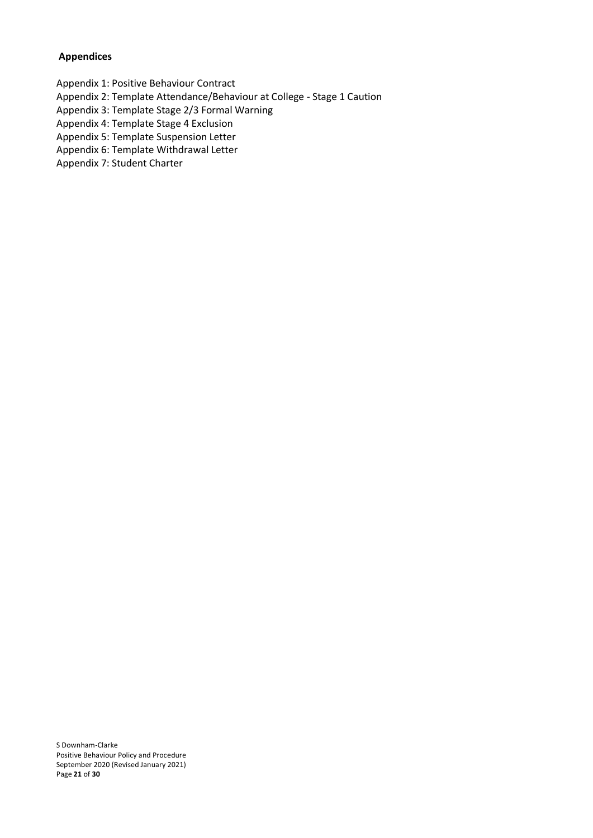## **Appendices**

Appendix 1: Positive Behaviour Contract Appendix 2: Template Attendance/Behaviour at College - Stage 1 Caution Appendix 3: Template Stage 2/3 Formal Warning Appendix 4: Template Stage 4 Exclusion Appendix 5: Template Suspension Letter Appendix 6: Template Withdrawal Letter

Appendix 7: Student Charter

S Downham-Clarke Positive Behaviour Policy and Procedure September 2020 (Revised January 2021) Page **21** of **30**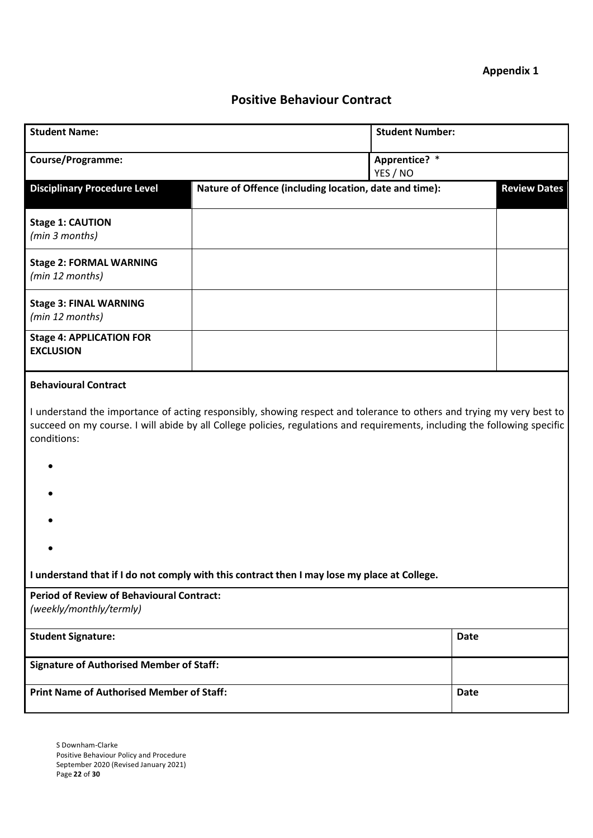# **Positive Behaviour Contract**

| <b>Student Name:</b>                                                                                                                                                                                                                                               |                                                        | <b>Student Number:</b> |                     |
|--------------------------------------------------------------------------------------------------------------------------------------------------------------------------------------------------------------------------------------------------------------------|--------------------------------------------------------|------------------------|---------------------|
| <b>Course/Programme:</b>                                                                                                                                                                                                                                           | Apprentice? *<br>YES / NO                              |                        |                     |
| <b>Disciplinary Procedure Level</b>                                                                                                                                                                                                                                | Nature of Offence (including location, date and time): |                        | <b>Review Dates</b> |
| <b>Stage 1: CAUTION</b><br>(min 3 months)                                                                                                                                                                                                                          |                                                        |                        |                     |
| <b>Stage 2: FORMAL WARNING</b><br>(min 12 months)                                                                                                                                                                                                                  |                                                        |                        |                     |
| <b>Stage 3: FINAL WARNING</b><br>(min 12 months)                                                                                                                                                                                                                   |                                                        |                        |                     |
| <b>Stage 4: APPLICATION FOR</b><br><b>EXCLUSION</b>                                                                                                                                                                                                                |                                                        |                        |                     |
| <b>Behavioural Contract</b>                                                                                                                                                                                                                                        |                                                        |                        |                     |
| I understand the importance of acting responsibly, showing respect and tolerance to others and trying my very best to<br>succeed on my course. I will abide by all College policies, regulations and requirements, including the following specific<br>conditions: |                                                        |                        |                     |
|                                                                                                                                                                                                                                                                    |                                                        |                        |                     |
|                                                                                                                                                                                                                                                                    |                                                        |                        |                     |
|                                                                                                                                                                                                                                                                    |                                                        |                        |                     |
|                                                                                                                                                                                                                                                                    |                                                        |                        |                     |
| I understand that if I do not comply with this contract then I may lose my place at College.                                                                                                                                                                       |                                                        |                        |                     |
| <b>Period of Review of Behavioural Contract:</b><br>(weekly/monthly/termly)                                                                                                                                                                                        |                                                        |                        |                     |
| <b>Student Signature:</b><br><b>Date</b>                                                                                                                                                                                                                           |                                                        |                        |                     |
| <b>Signature of Authorised Member of Staff:</b>                                                                                                                                                                                                                    |                                                        |                        |                     |
| <b>Print Name of Authorised Member of Staff:</b>                                                                                                                                                                                                                   |                                                        | <b>Date</b>            |                     |
|                                                                                                                                                                                                                                                                    |                                                        |                        |                     |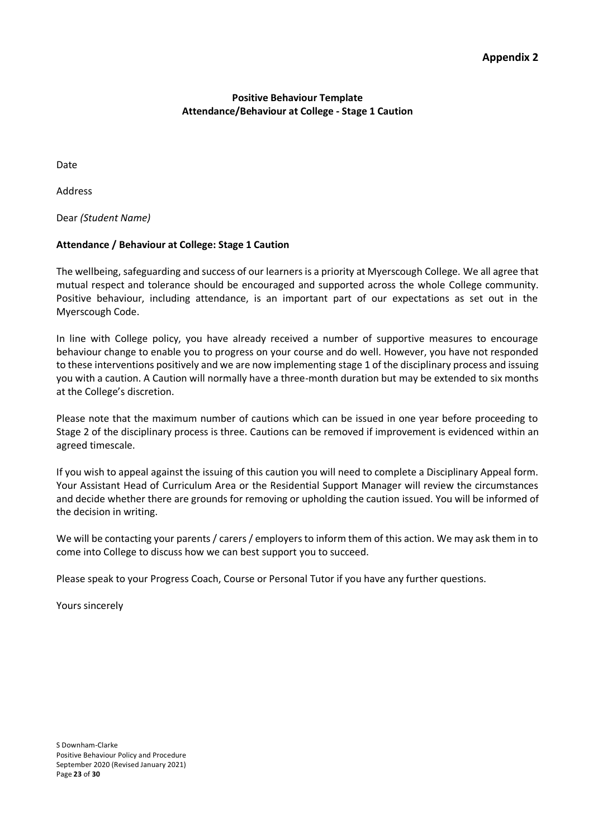# **Positive Behaviour Template Attendance/Behaviour at College - Stage 1 Caution**

Date

Address

Dear *(Student Name)*

# **Attendance / Behaviour at College: Stage 1 Caution**

The wellbeing, safeguarding and success of our learners is a priority at Myerscough College. We all agree that mutual respect and tolerance should be encouraged and supported across the whole College community. Positive behaviour, including attendance, is an important part of our expectations as set out in the Myerscough Code.

In line with College policy, you have already received a number of supportive measures to encourage behaviour change to enable you to progress on your course and do well. However, you have not responded to these interventions positively and we are now implementing stage 1 of the disciplinary process and issuing you with a caution. A Caution will normally have a three-month duration but may be extended to six months at the College's discretion.

Please note that the maximum number of cautions which can be issued in one year before proceeding to Stage 2 of the disciplinary process is three. Cautions can be removed if improvement is evidenced within an agreed timescale.

If you wish to appeal against the issuing of this caution you will need to complete a Disciplinary Appeal form. Your Assistant Head of Curriculum Area or the Residential Support Manager will review the circumstances and decide whether there are grounds for removing or upholding the caution issued. You will be informed of the decision in writing.

We will be contacting your parents / carers / employers to inform them of this action. We may ask them in to come into College to discuss how we can best support you to succeed.

Please speak to your Progress Coach, Course or Personal Tutor if you have any further questions.

Yours sincerely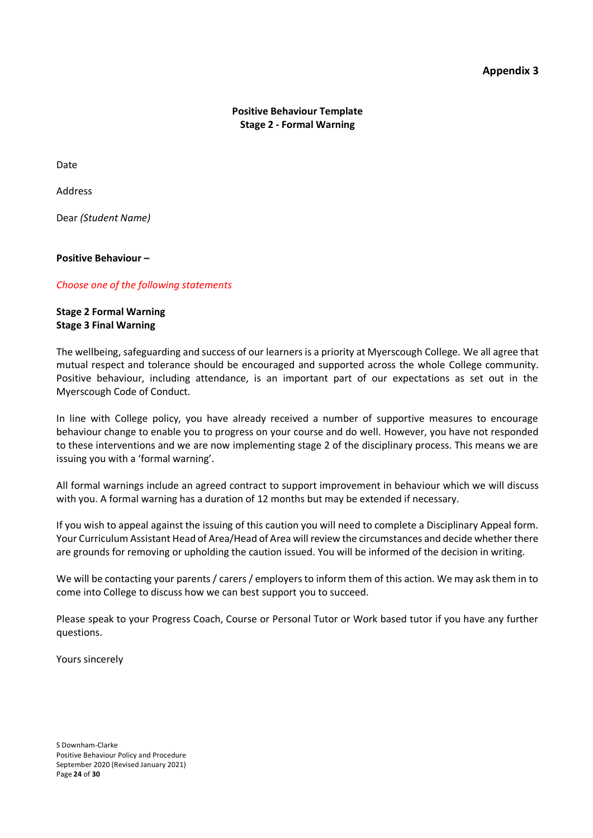**Positive Behaviour Template Stage 2 - Formal Warning**

Date

Address

Dear *(Student Name)*

**Positive Behaviour –**

#### *Choose one of the following statements*

## **Stage 2 Formal Warning Stage 3 Final Warning**

The wellbeing, safeguarding and success of our learners is a priority at Myerscough College. We all agree that mutual respect and tolerance should be encouraged and supported across the whole College community. Positive behaviour, including attendance, is an important part of our expectations as set out in the Myerscough Code of Conduct.

In line with College policy, you have already received a number of supportive measures to encourage behaviour change to enable you to progress on your course and do well. However, you have not responded to these interventions and we are now implementing stage 2 of the disciplinary process. This means we are issuing you with a 'formal warning'.

All formal warnings include an agreed contract to support improvement in behaviour which we will discuss with you. A formal warning has a duration of 12 months but may be extended if necessary.

If you wish to appeal against the issuing of this caution you will need to complete a Disciplinary Appeal form. Your Curriculum Assistant Head of Area/Head of Area will review the circumstances and decide whether there are grounds for removing or upholding the caution issued. You will be informed of the decision in writing.

We will be contacting your parents / carers / employers to inform them of this action. We may ask them in to come into College to discuss how we can best support you to succeed.

Please speak to your Progress Coach, Course or Personal Tutor or Work based tutor if you have any further questions.

Yours sincerely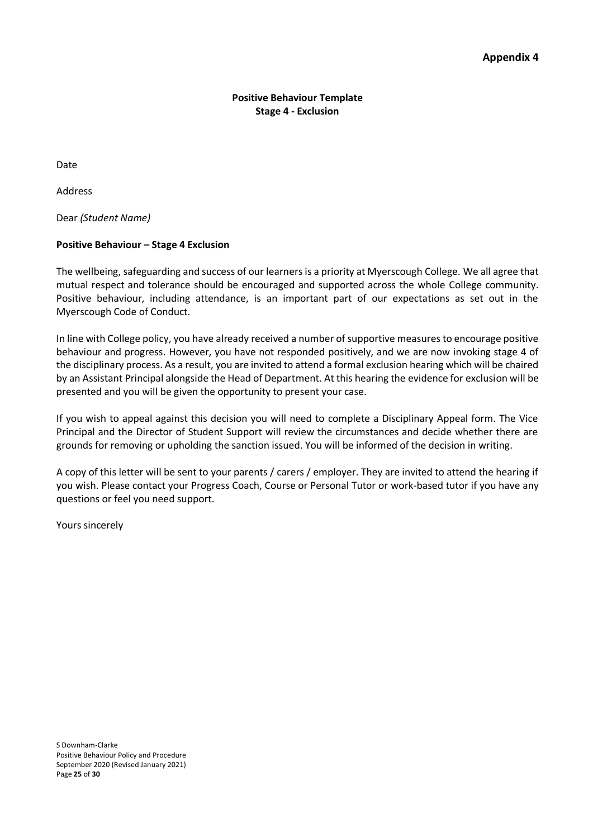# **Positive Behaviour Template Stage 4 - Exclusion**

Date

Address

Dear *(Student Name)*

### **Positive Behaviour – Stage 4 Exclusion**

The wellbeing, safeguarding and success of our learners is a priority at Myerscough College. We all agree that mutual respect and tolerance should be encouraged and supported across the whole College community. Positive behaviour, including attendance, is an important part of our expectations as set out in the Myerscough Code of Conduct.

In line with College policy, you have already received a number of supportive measures to encourage positive behaviour and progress. However, you have not responded positively, and we are now invoking stage 4 of the disciplinary process. As a result, you are invited to attend a formal exclusion hearing which will be chaired by an Assistant Principal alongside the Head of Department. At this hearing the evidence for exclusion will be presented and you will be given the opportunity to present your case.

If you wish to appeal against this decision you will need to complete a Disciplinary Appeal form. The Vice Principal and the Director of Student Support will review the circumstances and decide whether there are grounds for removing or upholding the sanction issued. You will be informed of the decision in writing.

A copy of this letter will be sent to your parents / carers / employer. They are invited to attend the hearing if you wish. Please contact your Progress Coach, Course or Personal Tutor or work-based tutor if you have any questions or feel you need support.

Yours sincerely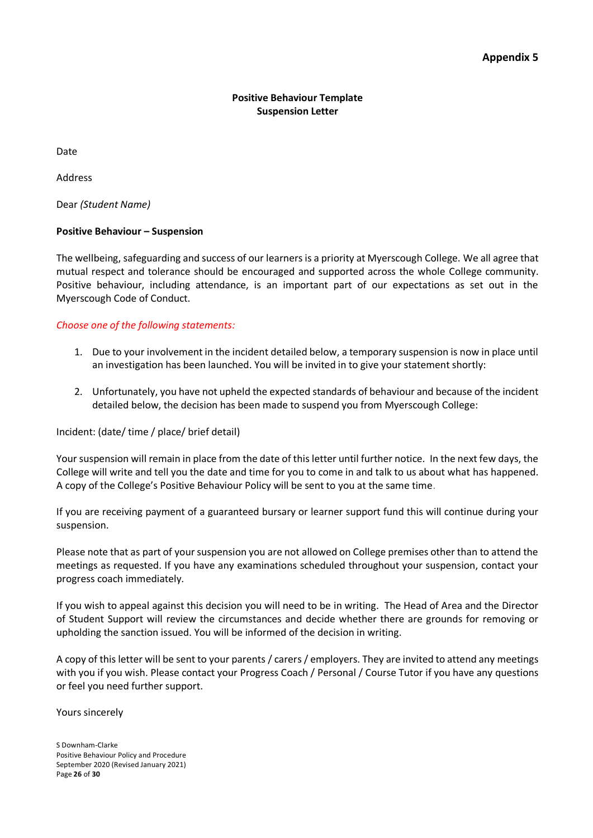# **Positive Behaviour Template Suspension Letter**

Date

Address

Dear *(Student Name)*

# **Positive Behaviour – Suspension**

The wellbeing, safeguarding and success of our learners is a priority at Myerscough College. We all agree that mutual respect and tolerance should be encouraged and supported across the whole College community. Positive behaviour, including attendance, is an important part of our expectations as set out in the Myerscough Code of Conduct.

# *Choose one of the following statements:*

- 1. Due to your involvement in the incident detailed below, a temporary suspension is now in place until an investigation has been launched. You will be invited in to give your statement shortly:
- 2. Unfortunately, you have not upheld the expected standards of behaviour and because of the incident detailed below, the decision has been made to suspend you from Myerscough College:

### Incident: (date/ time / place/ brief detail)

Your suspension will remain in place from the date of this letter until further notice*.* In the next few days, the College will write and tell you the date and time for you to come in and talk to us about what has happened. A copy of the College's Positive Behaviour Policy will be sent to you at the same time.

If you are receiving payment of a guaranteed bursary or learner support fund this will continue during your suspension.

Please note that as part of your suspension you are not allowed on College premises other than to attend the meetings as requested. If you have any examinations scheduled throughout your suspension, contact your progress coach immediately.

If you wish to appeal against this decision you will need to be in writing. The Head of Area and the Director of Student Support will review the circumstances and decide whether there are grounds for removing or upholding the sanction issued. You will be informed of the decision in writing.

A copy of this letter will be sent to your parents / carers / employers. They are invited to attend any meetings with you if you wish. Please contact your Progress Coach / Personal / Course Tutor if you have any questions or feel you need further support.

Yours sincerely

S Downham-Clarke Positive Behaviour Policy and Procedure September 2020 (Revised January 2021) Page **26** of **30**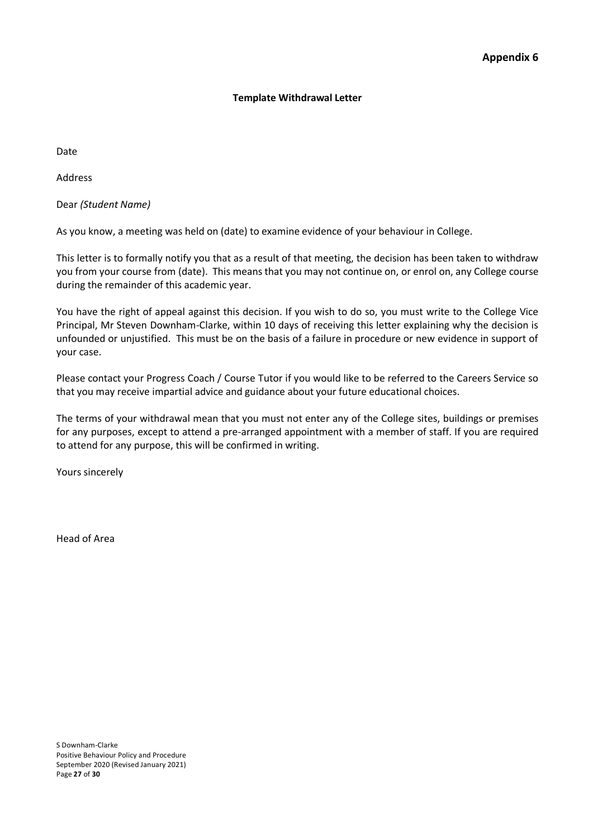## **Template Withdrawal Letter**

Date

Address

Dear *(Student Name)*

As you know, a meeting was held on (date) to examine evidence of your behaviour in College.

This letter is to formally notify you that as a result of that meeting, the decision has been taken to withdraw you from your course from (date). This means that you may not continue on, or enrol on, any College course during the remainder of this academic year.

You have the right of appeal against this decision. If you wish to do so, you must write to the College Vice Principal, Mr Steven Downham-Clarke, within 10 days of receiving this letter explaining why the decision is unfounded or unjustified. This must be on the basis of a failure in procedure or new evidence in support of your case.

Please contact your Progress Coach / Course Tutor if you would like to be referred to the Careers Service so that you may receive impartial advice and guidance about your future educational choices.

The terms of your withdrawal mean that you must not enter any of the College sites, buildings or premises for any purposes, except to attend a pre-arranged appointment with a member of staff. If you are required to attend for any purpose, this will be confirmed in writing.

Yours sincerely

Head of Area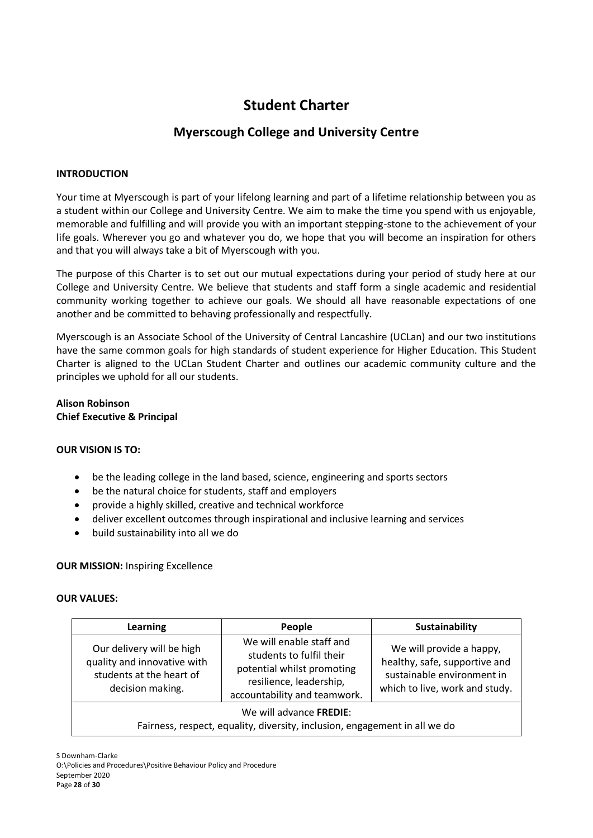# **Student Charter**

# **Myerscough College and University Centre**

### **INTRODUCTION**

Your time at Myerscough is part of your lifelong learning and part of a lifetime relationship between you as a student within our College and University Centre. We aim to make the time you spend with us enjoyable, memorable and fulfilling and will provide you with an important stepping-stone to the achievement of your life goals. Wherever you go and whatever you do, we hope that you will become an inspiration for others and that you will always take a bit of Myerscough with you.

The purpose of this Charter is to set out our mutual expectations during your period of study here at our College and University Centre. We believe that students and staff form a single academic and residential community working together to achieve our goals. We should all have reasonable expectations of one another and be committed to behaving professionally and respectfully.

Myerscough is an Associate School of the University of Central Lancashire (UCLan) and our two institutions have the same common goals for high standards of student experience for Higher Education. This Student Charter is aligned to the UCLan Student Charter and outlines our academic community culture and the principles we uphold for all our students.

**Alison Robinson Chief Executive & Principal**

### **OUR VISION IS TO:**

- be the leading college in the land based, science, engineering and sports sectors
- be the natural choice for students, staff and employers
- provide a highly skilled, creative and technical workforce
- deliver excellent outcomes through inspirational and inclusive learning and services
- build sustainability into all we do

### **OUR MISSION: Inspiring Excellence**

### **OUR VALUES:**

| <b>Learning</b>                                                                                               | People                                                                                                                                        | Sustainability                                                                                                            |  |
|---------------------------------------------------------------------------------------------------------------|-----------------------------------------------------------------------------------------------------------------------------------------------|---------------------------------------------------------------------------------------------------------------------------|--|
| Our delivery will be high<br>quality and innovative with<br>students at the heart of<br>decision making.      | We will enable staff and<br>students to fulfil their<br>potential whilst promoting<br>resilience, leadership,<br>accountability and teamwork. | We will provide a happy,<br>healthy, safe, supportive and<br>sustainable environment in<br>which to live, work and study. |  |
| We will advance <b>FREDIE</b> :<br>Fairness, respect, equality, diversity, inclusion, engagement in all we do |                                                                                                                                               |                                                                                                                           |  |

S Downham-Clarke

O:\Policies and Procedures\Positive Behaviour Policy and Procedure September 2020 Page **28** of **30**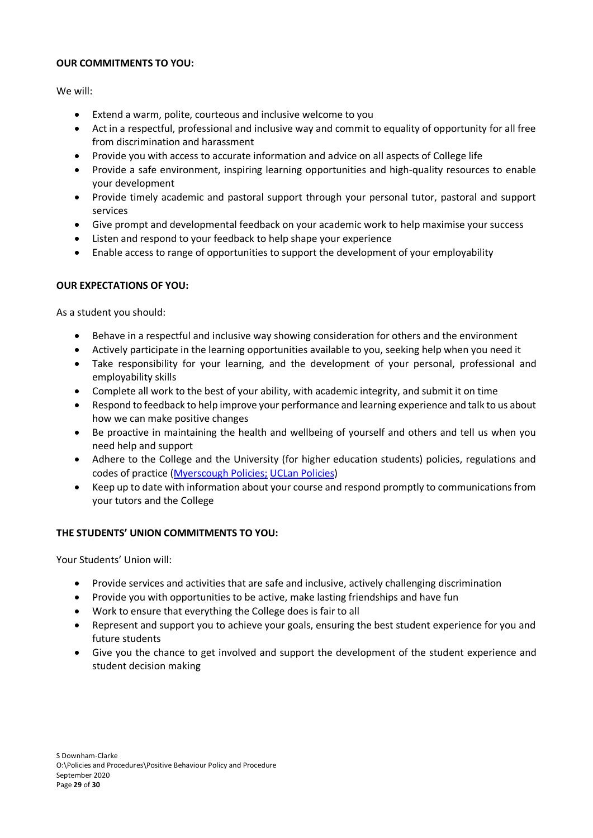# **OUR COMMITMENTS TO YOU:**

We will:

- Extend a warm, polite, courteous and inclusive welcome to you
- Act in a respectful, professional and inclusive way and commit to equality of opportunity for all free from discrimination and harassment
- Provide you with access to accurate information and advice on all aspects of College life
- Provide a safe environment, inspiring learning opportunities and high-quality resources to enable your development
- Provide timely academic and pastoral support through your personal tutor, pastoral and support services
- Give prompt and developmental feedback on your academic work to help maximise your success
- Listen and respond to your feedback to help shape your experience
- Enable access to range of opportunities to support the development of your employability

# **OUR EXPECTATIONS OF YOU:**

As a student you should:

- Behave in a respectful and inclusive way showing consideration for others and the environment
- Actively participate in the learning opportunities available to you, seeking help when you need it
- Take responsibility for your learning, and the development of your personal, professional and employability skills
- Complete all work to the best of your ability, with academic integrity, and submit it on time
- Respond to feedback to help improve your performance and learning experience and talk to us about how we can make positive changes
- Be proactive in maintaining the health and wellbeing of yourself and others and tell us when you need help and support
- Adhere to the College and the University (for higher education students) policies, regulations and codes of practice [\(Myerscough Policies;](https://www.myerscough.ac.uk/policies/) [UCLan Policies\)](https://www.uclan.ac.uk/study_here/student-contract.php)
- Keep up to date with information about your course and respond promptly to communications from your tutors and the College

# **THE STUDENTS' UNION COMMITMENTS TO YOU:**

Your Students' Union will:

- Provide services and activities that are safe and inclusive, actively challenging discrimination
- Provide you with opportunities to be active, make lasting friendships and have fun
- Work to ensure that everything the College does is fair to all
- Represent and support you to achieve your goals, ensuring the best student experience for you and future students
- Give you the chance to get involved and support the development of the student experience and student decision making